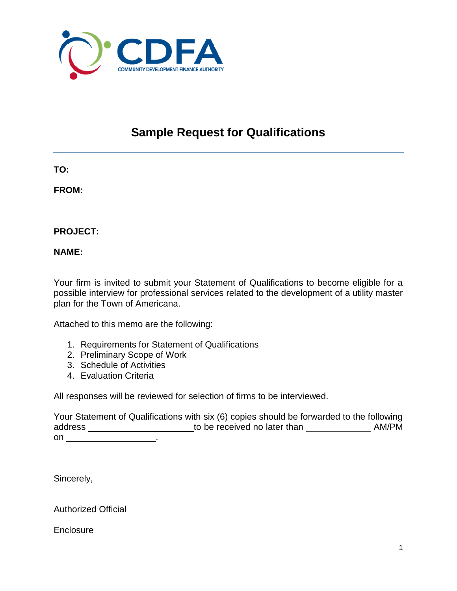

## **Sample Request for Qualifications**

**TO:**

**FROM:**

**PROJECT:**

**NAME:**

Your firm is invited to submit your Statement of Qualifications to become eligible for a possible interview for professional services related to the development of a utility master plan for the Town of Americana.

Attached to this memo are the following:

- 1. Requirements for Statement of Qualifications
- 2. Preliminary Scope of Work
- 3. Schedule of Activities
- 4. Evaluation Criteria

All responses will be reviewed for selection of firms to be interviewed.

Your Statement of Qualifications with six (6) copies should be forwarded to the following address \_\_\_\_\_\_\_\_\_\_\_\_\_\_\_\_\_\_\_\_\_\_to be received no later than \_\_\_\_\_\_\_\_\_\_\_\_\_\_\_\_\_\_\_\_\_ AM/PM on \_\_\_\_\_\_\_\_\_\_\_\_\_\_\_\_\_\_\_\_\_\_\_\_\_\_\_\_\_\_\_\_.

Sincerely,

Authorized Official

**Enclosure**